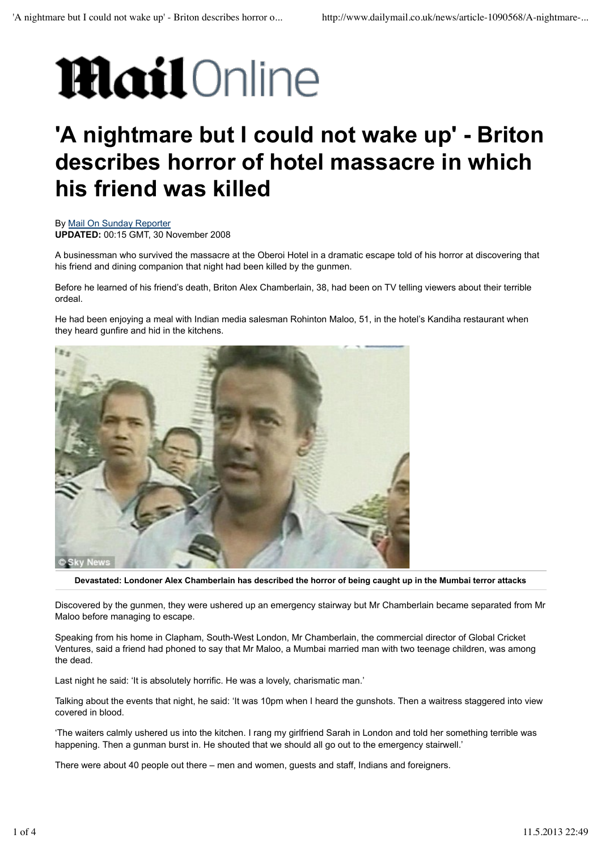## **Mail**Online

## **'A nightmare but I could not wake up' - Briton describes horror of hotel massacre in which his friend was killed**

By Mail On Sunday Reporter **UPDATED:** 00:15 GMT, 30 November 2008

A businessman who survived the massacre at the Oberoi Hotel in a dramatic escape told of his horror at discovering that his friend and dining companion that night had been killed by the gunmen.

Before he learned of his friend's death, Briton Alex Chamberlain, 38, had been on TV telling viewers about their terrible ordeal.

He had been enjoying a meal with Indian media salesman Rohinton Maloo, 51, in the hotel's Kandiha restaurant when they heard gunfire and hid in the kitchens.



**Devastated: Londoner Alex Chamberlain has described the horror of being caught up in the Mumbai terror attacks**

Discovered by the gunmen, they were ushered up an emergency stairway but Mr Chamberlain became separated from Mr Maloo before managing to escape.

Speaking from his home in Clapham, South-West London, Mr Chamberlain, the commercial director of Global Cricket Ventures, said a friend had phoned to say that Mr Maloo, a Mumbai married man with two teenage children, was among the dead.

Last night he said: 'It is absolutely horrific. He was a lovely, charismatic man.'

Talking about the events that night, he said: 'It was 10pm when I heard the gunshots. Then a waitress staggered into view covered in blood.

'The waiters calmly ushered us into the kitchen. I rang my girlfriend Sarah in London and told her something terrible was happening. Then a gunman burst in. He shouted that we should all go out to the emergency stairwell.'

There were about 40 people out there – men and women, guests and staff, Indians and foreigners.